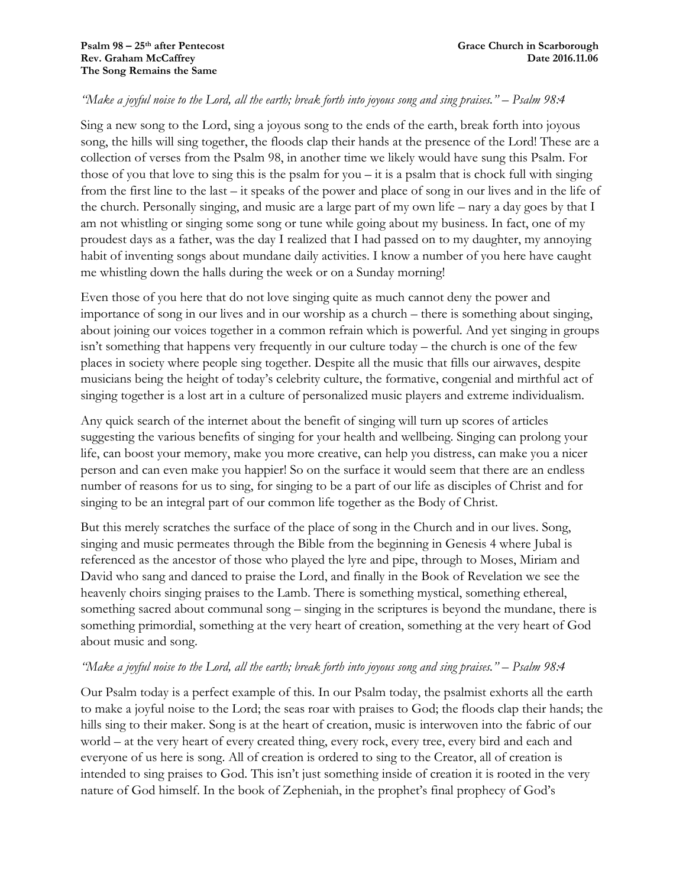## *"Make a joyful noise to the Lord, all the earth; break forth into joyous song and sing praises." – Psalm 98:4*

Sing a new song to the Lord, sing a joyous song to the ends of the earth, break forth into joyous song, the hills will sing together, the floods clap their hands at the presence of the Lord! These are a collection of verses from the Psalm 98, in another time we likely would have sung this Psalm. For those of you that love to sing this is the psalm for you  $-$  it is a psalm that is chock full with singing from the first line to the last – it speaks of the power and place of song in our lives and in the life of the church. Personally singing, and music are a large part of my own life – nary a day goes by that I am not whistling or singing some song or tune while going about my business. In fact, one of my proudest days as a father, was the day I realized that I had passed on to my daughter, my annoying habit of inventing songs about mundane daily activities. I know a number of you here have caught me whistling down the halls during the week or on a Sunday morning!

Even those of you here that do not love singing quite as much cannot deny the power and importance of song in our lives and in our worship as a church – there is something about singing, about joining our voices together in a common refrain which is powerful. And yet singing in groups isn't something that happens very frequently in our culture today – the church is one of the few places in society where people sing together. Despite all the music that fills our airwaves, despite musicians being the height of today's celebrity culture, the formative, congenial and mirthful act of singing together is a lost art in a culture of personalized music players and extreme individualism.

Any quick search of the internet about the benefit of singing will turn up scores of articles suggesting the various benefits of singing for your health and wellbeing. Singing can prolong your life, can boost your memory, make you more creative, can help you distress, can make you a nicer person and can even make you happier! So on the surface it would seem that there are an endless number of reasons for us to sing, for singing to be a part of our life as disciples of Christ and for singing to be an integral part of our common life together as the Body of Christ.

But this merely scratches the surface of the place of song in the Church and in our lives. Song, singing and music permeates through the Bible from the beginning in Genesis 4 where Jubal is referenced as the ancestor of those who played the lyre and pipe, through to Moses, Miriam and David who sang and danced to praise the Lord, and finally in the Book of Revelation we see the heavenly choirs singing praises to the Lamb. There is something mystical, something ethereal, something sacred about communal song – singing in the scriptures is beyond the mundane, there is something primordial, something at the very heart of creation, something at the very heart of God about music and song.

## *"Make a joyful noise to the Lord, all the earth; break forth into joyous song and sing praises." – Psalm 98:4*

Our Psalm today is a perfect example of this. In our Psalm today, the psalmist exhorts all the earth to make a joyful noise to the Lord; the seas roar with praises to God; the floods clap their hands; the hills sing to their maker. Song is at the heart of creation, music is interwoven into the fabric of our world – at the very heart of every created thing, every rock, every tree, every bird and each and everyone of us here is song. All of creation is ordered to sing to the Creator, all of creation is intended to sing praises to God. This isn't just something inside of creation it is rooted in the very nature of God himself. In the book of Zepheniah, in the prophet's final prophecy of God's